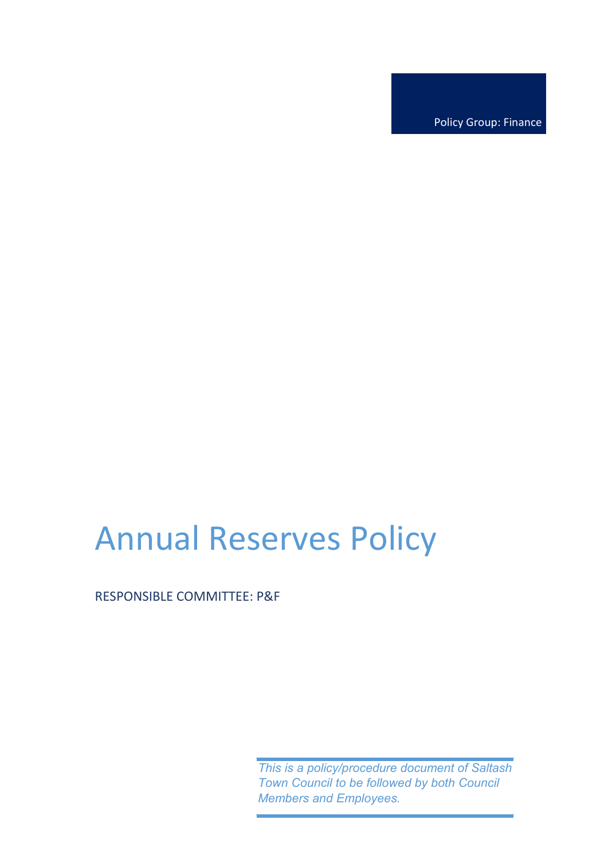Policy Group: Finance

# Annual Reserves Policy

## RESPONSIBLE COMMITTEE: P&F

*This is a policy/procedure document of Saltash Town Council to be followed by both Council Members and Employees.*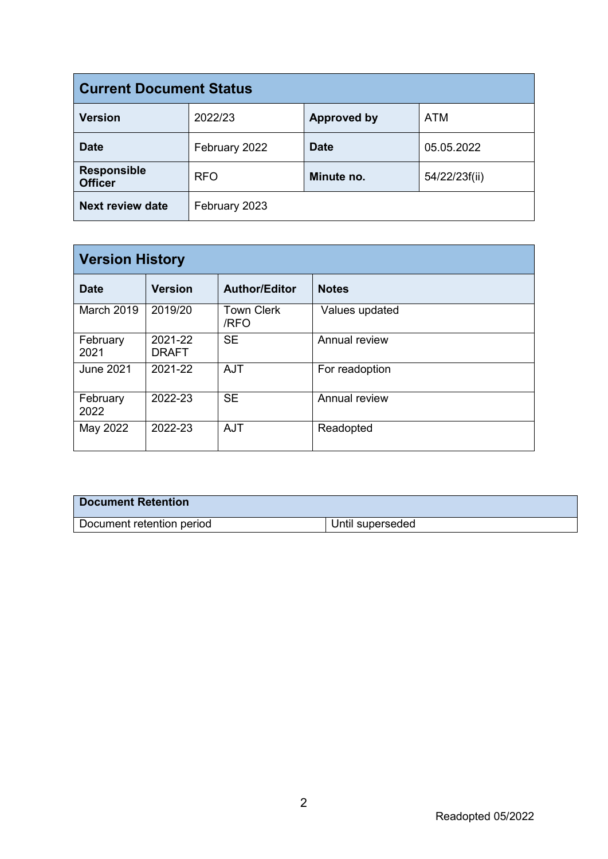| <b>Current Document Status</b>       |               |                    |               |  |  |
|--------------------------------------|---------------|--------------------|---------------|--|--|
| <b>Version</b>                       | 2022/23       | <b>Approved by</b> | <b>ATM</b>    |  |  |
| <b>Date</b>                          | February 2022 | <b>Date</b>        | 05.05.2022    |  |  |
| <b>Responsible</b><br><b>Officer</b> | <b>RFO</b>    | Minute no.         | 54/22/23f(ii) |  |  |
| <b>Next review date</b>              | February 2023 |                    |               |  |  |

| <b>Version History</b> |                         |                           |                |  |  |
|------------------------|-------------------------|---------------------------|----------------|--|--|
| <b>Date</b>            | <b>Version</b>          | <b>Author/Editor</b>      | <b>Notes</b>   |  |  |
| <b>March 2019</b>      | 2019/20                 | <b>Town Clerk</b><br>/RFO | Values updated |  |  |
| February<br>2021       | 2021-22<br><b>DRAFT</b> | <b>SE</b>                 | Annual review  |  |  |
| June 2021              | 2021-22                 | <b>AJT</b>                | For readoption |  |  |
| February<br>2022       | 2022-23                 | <b>SE</b>                 | Annual review  |  |  |
| May 2022               | 2022-23                 | <b>AJT</b>                | Readopted      |  |  |

| <b>Document Retention</b> |                  |
|---------------------------|------------------|
| Document retention period | Until superseded |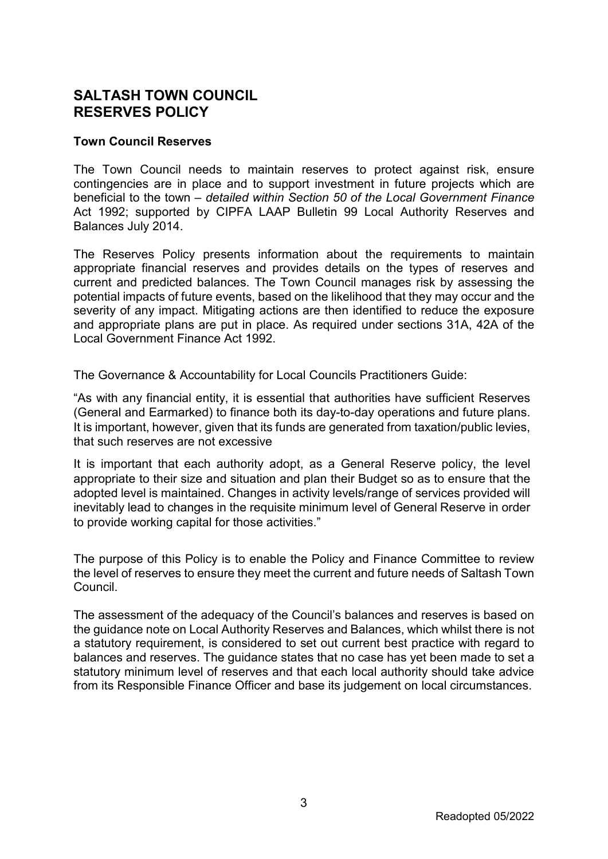## **SALTASH TOWN COUNCIL RESERVES POLICY**

#### **Town Council Reserves**

The Town Council needs to maintain reserves to protect against risk, ensure contingencies are in place and to support investment in future projects which are beneficial to the town – *detailed within Section 50 of the Local Government Finance*  Act 1992; supported by CIPFA LAAP Bulletin 99 Local Authority Reserves and Balances July 2014.

The Reserves Policy presents information about the requirements to maintain appropriate financial reserves and provides details on the types of reserves and current and predicted balances. The Town Council manages risk by assessing the potential impacts of future events, based on the likelihood that they may occur and the severity of any impact. Mitigating actions are then identified to reduce the exposure and appropriate plans are put in place. As required under sections 31A, 42A of the Local Government Finance Act 1992.

The Governance & Accountability for Local Councils Practitioners Guide:

"As with any financial entity, it is essential that authorities have sufficient Reserves (General and Earmarked) to finance both its day-to-day operations and future plans. It is important, however, given that its funds are generated from taxation/public levies, that such reserves are not excessive

It is important that each authority adopt, as a General Reserve policy, the level appropriate to their size and situation and plan their Budget so as to ensure that the adopted level is maintained. Changes in activity levels/range of services provided will inevitably lead to changes in the requisite minimum level of General Reserve in order to provide working capital for those activities."

The purpose of this Policy is to enable the Policy and Finance Committee to review the level of reserves to ensure they meet the current and future needs of Saltash Town Council.

The assessment of the adequacy of the Council's balances and reserves is based on the guidance note on Local Authority Reserves and Balances, which whilst there is not a statutory requirement, is considered to set out current best practice with regard to balances and reserves. The guidance states that no case has yet been made to set a statutory minimum level of reserves and that each local authority should take advice from its Responsible Finance Officer and base its judgement on local circumstances.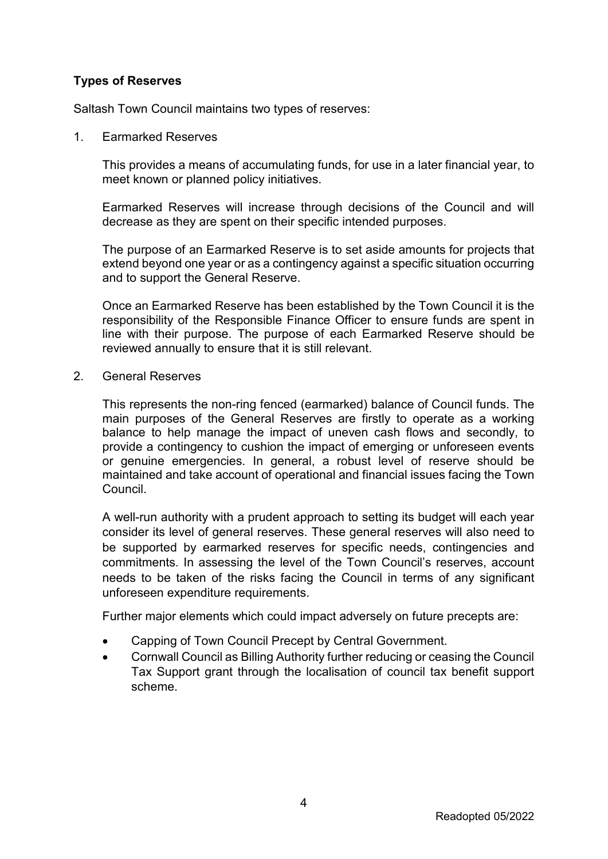### **Types of Reserves**

Saltash Town Council maintains two types of reserves:

1. Earmarked Reserves

This provides a means of accumulating funds, for use in a later financial year, to meet known or planned policy initiatives.

Earmarked Reserves will increase through decisions of the Council and will decrease as they are spent on their specific intended purposes.

The purpose of an Earmarked Reserve is to set aside amounts for projects that extend beyond one year or as a contingency against a specific situation occurring and to support the General Reserve.

Once an Earmarked Reserve has been established by the Town Council it is the responsibility of the Responsible Finance Officer to ensure funds are spent in line with their purpose. The purpose of each Earmarked Reserve should be reviewed annually to ensure that it is still relevant.

2. General Reserves

This represents the non-ring fenced (earmarked) balance of Council funds. The main purposes of the General Reserves are firstly to operate as a working balance to help manage the impact of uneven cash flows and secondly, to provide a contingency to cushion the impact of emerging or unforeseen events or genuine emergencies. In general, a robust level of reserve should be maintained and take account of operational and financial issues facing the Town Council.

A well-run authority with a prudent approach to setting its budget will each year consider its level of general reserves. These general reserves will also need to be supported by earmarked reserves for specific needs, contingencies and commitments. In assessing the level of the Town Council's reserves, account needs to be taken of the risks facing the Council in terms of any significant unforeseen expenditure requirements.

Further major elements which could impact adversely on future precepts are:

- Capping of Town Council Precept by Central Government.
- Cornwall Council as Billing Authority further reducing or ceasing the Council Tax Support grant through the localisation of council tax benefit support scheme.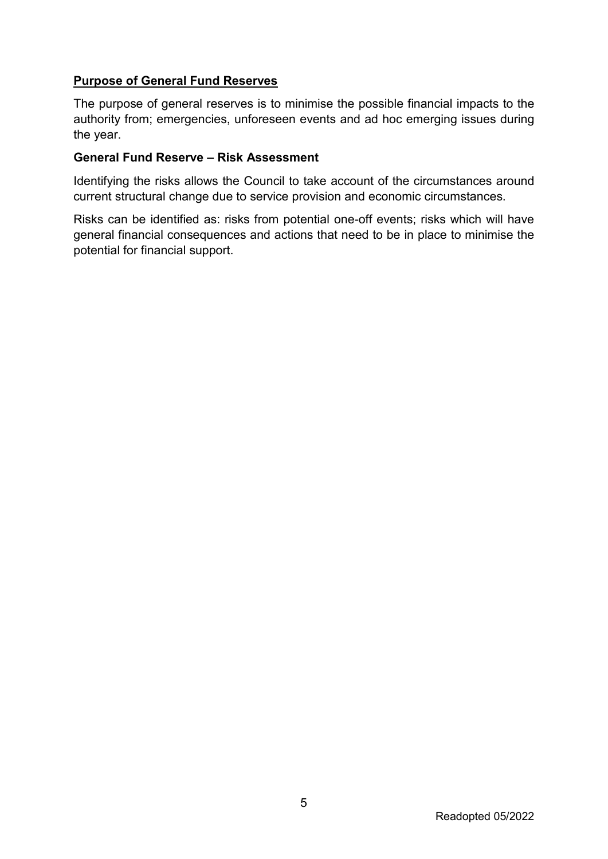### **Purpose of General Fund Reserves**

The purpose of general reserves is to minimise the possible financial impacts to the authority from; emergencies, unforeseen events and ad hoc emerging issues during the year.

#### **General Fund Reserve – Risk Assessment**

Identifying the risks allows the Council to take account of the circumstances around current structural change due to service provision and economic circumstances.

Risks can be identified as: risks from potential one-off events; risks which will have general financial consequences and actions that need to be in place to minimise the potential for financial support.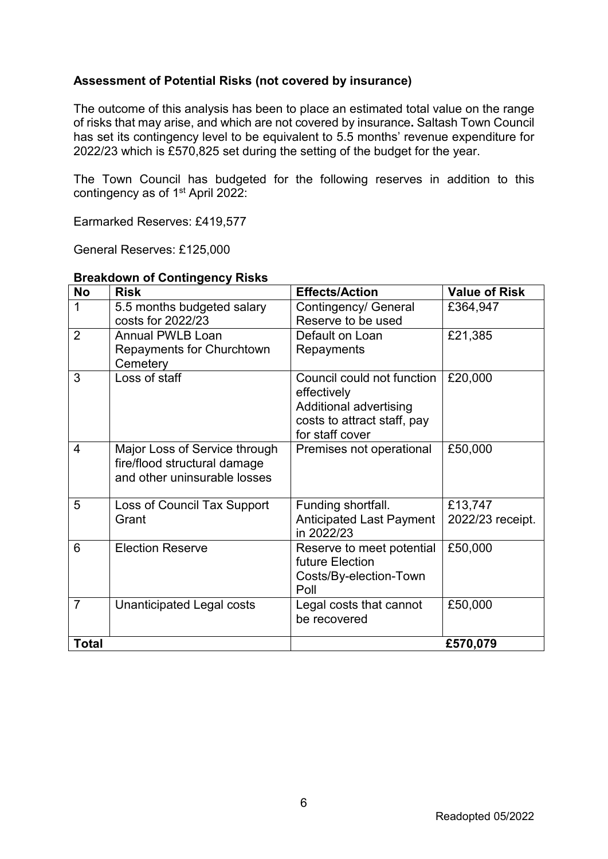#### **Assessment of Potential Risks (not covered by insurance)**

The outcome of this analysis has been to place an estimated total value on the range of risks that may arise, and which are not covered by insurance**.** Saltash Town Council has set its contingency level to be equivalent to 5.5 months' revenue expenditure for 2022/23 which is £570,825 set during the setting of the budget for the year.

The Town Council has budgeted for the following reserves in addition to this contingency as of 1st April 2022:

Earmarked Reserves: £419,577

General Reserves: £125,000

| <b>No</b>      | <b>Risk</b>                                                                                   | <b>Effects/Action</b>                                                                                                 | <b>Value of Risk</b>        |
|----------------|-----------------------------------------------------------------------------------------------|-----------------------------------------------------------------------------------------------------------------------|-----------------------------|
| 1              | 5.5 months budgeted salary<br>costs for 2022/23                                               | Contingency/ General<br>Reserve to be used                                                                            | £364,947                    |
| $\overline{2}$ | <b>Annual PWLB Loan</b><br><b>Repayments for Churchtown</b><br>Cemetery                       | Default on Loan<br>Repayments                                                                                         | £21,385                     |
| 3              | Loss of staff                                                                                 | Council could not function<br>effectively<br>Additional advertising<br>costs to attract staff, pay<br>for staff cover | £20,000                     |
| $\overline{4}$ | Major Loss of Service through<br>fire/flood structural damage<br>and other uninsurable losses | Premises not operational                                                                                              | £50,000                     |
| 5              | Loss of Council Tax Support<br>Grant                                                          | Funding shortfall.<br><b>Anticipated Last Payment</b><br>in 2022/23                                                   | £13,747<br>2022/23 receipt. |
| 6              | <b>Election Reserve</b>                                                                       | Reserve to meet potential<br>future Election<br>Costs/By-election-Town<br>Poll                                        | £50,000                     |
| $\overline{7}$ | <b>Unanticipated Legal costs</b>                                                              | Legal costs that cannot<br>be recovered                                                                               | £50,000                     |
| <b>Total</b>   |                                                                                               |                                                                                                                       | £570,079                    |

#### **Breakdown of Contingency Risks**